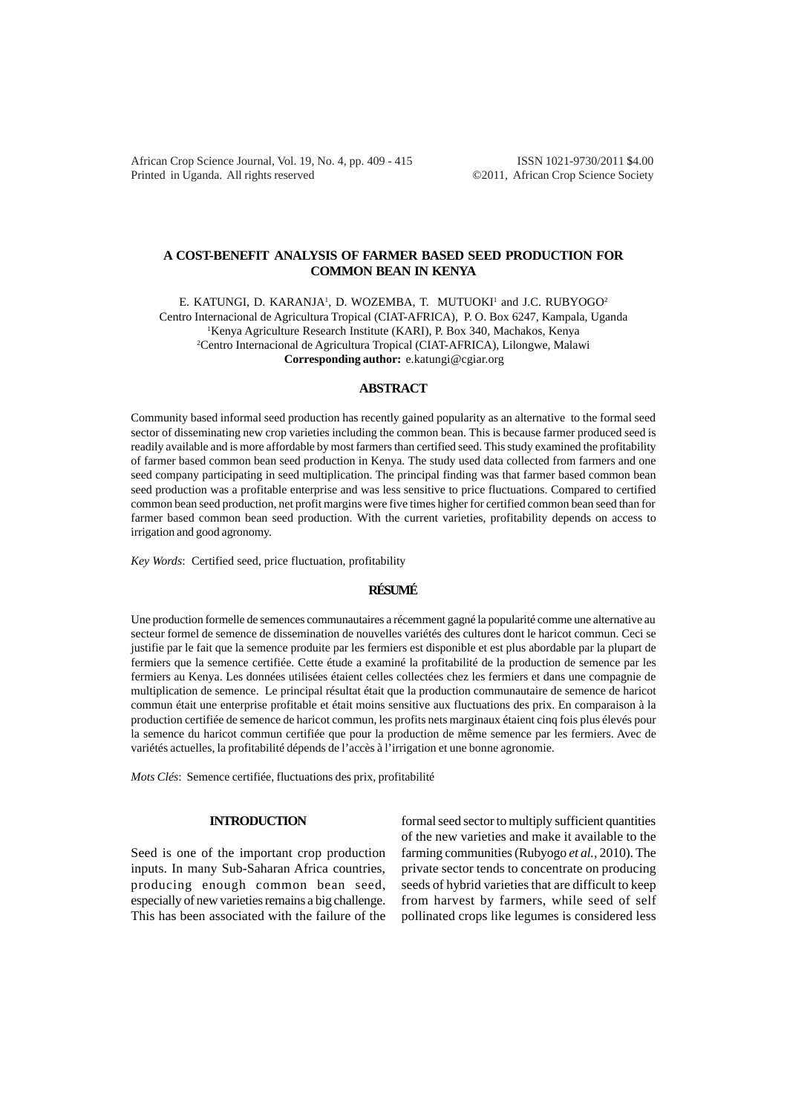African Crop Science Journal, Vol. 19, No. 4, pp. 409 - 415 **ISSN 1021-9730/2011 \$4.00** Printed in Uganda. All rights reserved ©2011, African Crop Science Society

# **A COST-BENEFIT ANALYSIS OF FARMER BASED SEED PRODUCTION FOR COMMON BEAN IN KENYA**

E. KATUNGI, D. KARANJA<sup>1</sup>, D. WOZEMBA, T. MUTUOKI<sup>1</sup> and J.C. RUBYOGO<sup>2</sup> Centro Internacional de Agricultura Tropical (CIAT-AFRICA), P. O. Box 6247, Kampala, Uganda 1 Kenya Agriculture Research Institute (KARI), P. Box 340, Machakos, Kenya 2 Centro Internacional de Agricultura Tropical (CIAT-AFRICA), Lilongwe, Malawi **Corresponding author:** e.katungi@cgiar.org

#### **ABSTRACT**

Community based informal seed production has recently gained popularity as an alternative to the formal seed sector of disseminating new crop varieties including the common bean. This is because farmer produced seed is readily available and is more affordable by most farmers than certified seed. This study examined the profitability of farmer based common bean seed production in Kenya. The study used data collected from farmers and one seed company participating in seed multiplication. The principal finding was that farmer based common bean seed production was a profitable enterprise and was less sensitive to price fluctuations. Compared to certified common bean seed production, net profit margins were five times higher for certified common bean seed than for farmer based common bean seed production. With the current varieties, profitability depends on access to irrigation and good agronomy.

*Key Words*: Certified seed, price fluctuation, profitability

### **RÉSUMÉ**

Une production formelle de semences communautaires a récemment gagné la popularité comme une alternative au secteur formel de semence de dissemination de nouvelles variétés des cultures dont le haricot commun. Ceci se justifie par le fait que la semence produite par les fermiers est disponible et est plus abordable par la plupart de fermiers que la semence certifiée. Cette étude a examiné la profitabilité de la production de semence par les fermiers au Kenya. Les données utilisées étaient celles collectées chez les fermiers et dans une compagnie de multiplication de semence. Le principal résultat était que la production communautaire de semence de haricot commun était une enterprise profitable et était moins sensitive aux fluctuations des prix. En comparaison à la production certifiée de semence de haricot commun, les profits nets marginaux étaient cinq fois plus élevés pour la semence du haricot commun certifiée que pour la production de même semence par les fermiers. Avec de variétés actuelles, la profitabilité dépends de l'accès à l'irrigation et une bonne agronomie.

*Mots Clés*: Semence certifiée, fluctuations des prix, profitabilité

## **INTRODUCTION**

Seed is one of the important crop production inputs. In many Sub-Saharan Africa countries, producing enough common bean seed, especially of new varieties remains a big challenge. This has been associated with the failure of the

formal seed sector to multiply sufficient quantities of the new varieties and make it available to the farming communities (Rubyogo *et al.,* 2010). The private sector tends to concentrate on producing seeds of hybrid varieties that are difficult to keep from harvest by farmers, while seed of self pollinated crops like legumes is considered less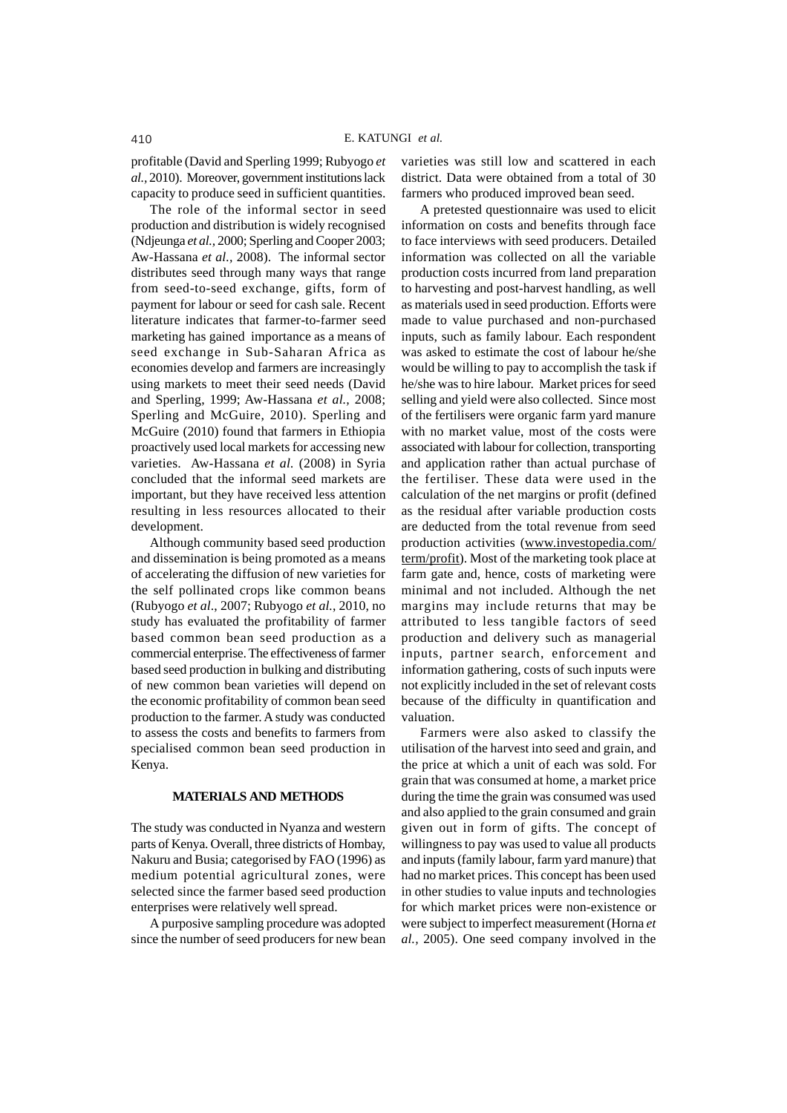profitable (David and Sperling 1999; Rubyogo *et al.,* 2010). Moreover, government institutions lack capacity to produce seed in sufficient quantities.

The role of the informal sector in seed production and distribution is widely recognised (Ndjeunga *et al.,* 2000; Sperling and Cooper 2003; Aw-Hassana *et al.,* 2008). The informal sector distributes seed through many ways that range from seed-to-seed exchange, gifts, form of payment for labour or seed for cash sale. Recent literature indicates that farmer-to-farmer seed marketing has gained importance as a means of seed exchange in Sub-Saharan Africa as economies develop and farmers are increasingly using markets to meet their seed needs (David and Sperling, 1999; Aw-Hassana *et al.,* 2008; Sperling and McGuire, 2010). Sperling and McGuire (2010) found that farmers in Ethiopia proactively used local markets for accessing new varieties. Aw-Hassana *et al.* (2008) in Syria concluded that the informal seed markets are important, but they have received less attention resulting in less resources allocated to their development.

Although community based seed production and dissemination is being promoted as a means of accelerating the diffusion of new varieties for the self pollinated crops like common beans (Rubyogo *et al*., 2007; Rubyogo *et al.*, 2010, no study has evaluated the profitability of farmer based common bean seed production as a commercial enterprise. The effectiveness of farmer based seed production in bulking and distributing of new common bean varieties will depend on the economic profitability of common bean seed production to the farmer. A study was conducted to assess the costs and benefits to farmers from specialised common bean seed production in Kenya.

#### **MATERIALS AND METHODS**

The study was conducted in Nyanza and western parts of Kenya. Overall, three districts of Hombay, Nakuru and Busia; categorised by FAO (1996) as medium potential agricultural zones, were selected since the farmer based seed production enterprises were relatively well spread.

A purposive sampling procedure was adopted since the number of seed producers for new bean varieties was still low and scattered in each district. Data were obtained from a total of 30 farmers who produced improved bean seed.

A pretested questionnaire was used to elicit information on costs and benefits through face to face interviews with seed producers. Detailed information was collected on all the variable production costs incurred from land preparation to harvesting and post-harvest handling, as well as materials used in seed production. Efforts were made to value purchased and non-purchased inputs, such as family labour. Each respondent was asked to estimate the cost of labour he/she would be willing to pay to accomplish the task if he/she was to hire labour. Market prices for seed selling and yield were also collected. Since most of the fertilisers were organic farm yard manure with no market value, most of the costs were associated with labour for collection, transporting and application rather than actual purchase of the fertiliser. These data were used in the calculation of the net margins or profit (defined as the residual after variable production costs are deducted from the total revenue from seed production activities (www.investopedia.com/ term/profit). Most of the marketing took place at farm gate and, hence, costs of marketing were minimal and not included. Although the net margins may include returns that may be attributed to less tangible factors of seed production and delivery such as managerial inputs, partner search, enforcement and information gathering, costs of such inputs were not explicitly included in the set of relevant costs because of the difficulty in quantification and valuation.

Farmers were also asked to classify the utilisation of the harvest into seed and grain, and the price at which a unit of each was sold. For grain that was consumed at home, a market price during the time the grain was consumed was used and also applied to the grain consumed and grain given out in form of gifts. The concept of willingness to pay was used to value all products and inputs (family labour, farm yard manure) that had no market prices. This concept has been used in other studies to value inputs and technologies for which market prices were non-existence or were subject to imperfect measurement (Horna *et al.,* 2005). One seed company involved in the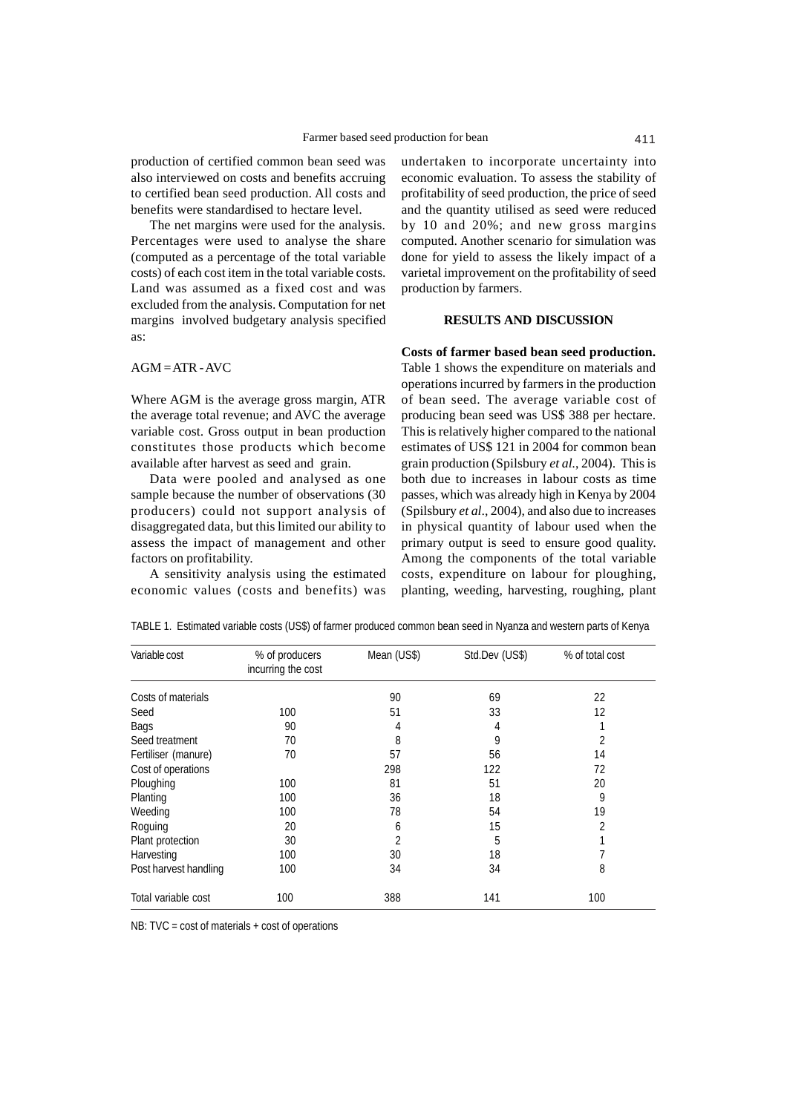production of certified common bean seed was also interviewed on costs and benefits accruing to certified bean seed production. All costs and benefits were standardised to hectare level.

The net margins were used for the analysis. Percentages were used to analyse the share (computed as a percentage of the total variable costs) of each cost item in the total variable costs. Land was assumed as a fixed cost and was excluded from the analysis. Computation for net margins involved budgetary analysis specified as:

 $AGM = ATR - AVC$ 

Where AGM is the average gross margin, ATR the average total revenue; and AVC the average variable cost. Gross output in bean production constitutes those products which become available after harvest as seed and grain.

Data were pooled and analysed as one sample because the number of observations (30 producers) could not support analysis of disaggregated data, but this limited our ability to assess the impact of management and other factors on profitability.

A sensitivity analysis using the estimated economic values (costs and benefits) was

undertaken to incorporate uncertainty into economic evaluation. To assess the stability of profitability of seed production, the price of seed and the quantity utilised as seed were reduced by 10 and 20%; and new gross margins computed. Another scenario for simulation was done for yield to assess the likely impact of a varietal improvement on the profitability of seed production by farmers.

## **RESULTS AND DISCUSSION**

**Costs of farmer based bean seed production.**

Table 1 shows the expenditure on materials and operations incurred by farmers in the production of bean seed. The average variable cost of producing bean seed was US\$ 388 per hectare. This is relatively higher compared to the national estimates of US\$ 121 in 2004 for common bean grain production (Spilsbury *et al.*, 2004). This is both due to increases in labour costs as time passes, which was already high in Kenya by 2004 (Spilsbury *et al*., 2004), and also due to increases in physical quantity of labour used when the primary output is seed to ensure good quality. Among the components of the total variable costs, expenditure on labour for ploughing, planting, weeding, harvesting, roughing, plant

| Variable cost         | % of producers<br>incurring the cost | Mean (US\$) | Std.Dev (US\$) | % of total cost |
|-----------------------|--------------------------------------|-------------|----------------|-----------------|
| Costs of materials    |                                      | 90          | 69             | 22              |
| Seed                  | 100                                  | 51          | 33             | 12              |
| Bags                  | 90                                   | 4           | 4              |                 |
| Seed treatment        | 70                                   | 8           | 9              | 2               |
| Fertiliser (manure)   | 70                                   | 57          | 56             | 14              |
| Cost of operations    |                                      | 298         | 122            | 72              |
| Ploughing             | 100                                  | 81          | 51             | 20              |
| Planting              | 100                                  | 36          | 18             | 9               |
| Weeding               | 100                                  | 78          | 54             | 19              |
| Roguing               | 20                                   | 6           | 15             | 2               |
| Plant protection      | 30                                   | 2           | 5              |                 |
| Harvesting            | 100                                  | 30          | 18             |                 |
| Post harvest handling | 100                                  | 34          | 34             | 8               |
| Total variable cost   | 100                                  | 388         | 141            | 100             |

TABLE 1. Estimated variable costs (US\$) of farmer produced common bean seed in Nyanza and western parts of Kenya

NB: TVC = cost of materials + cost of operations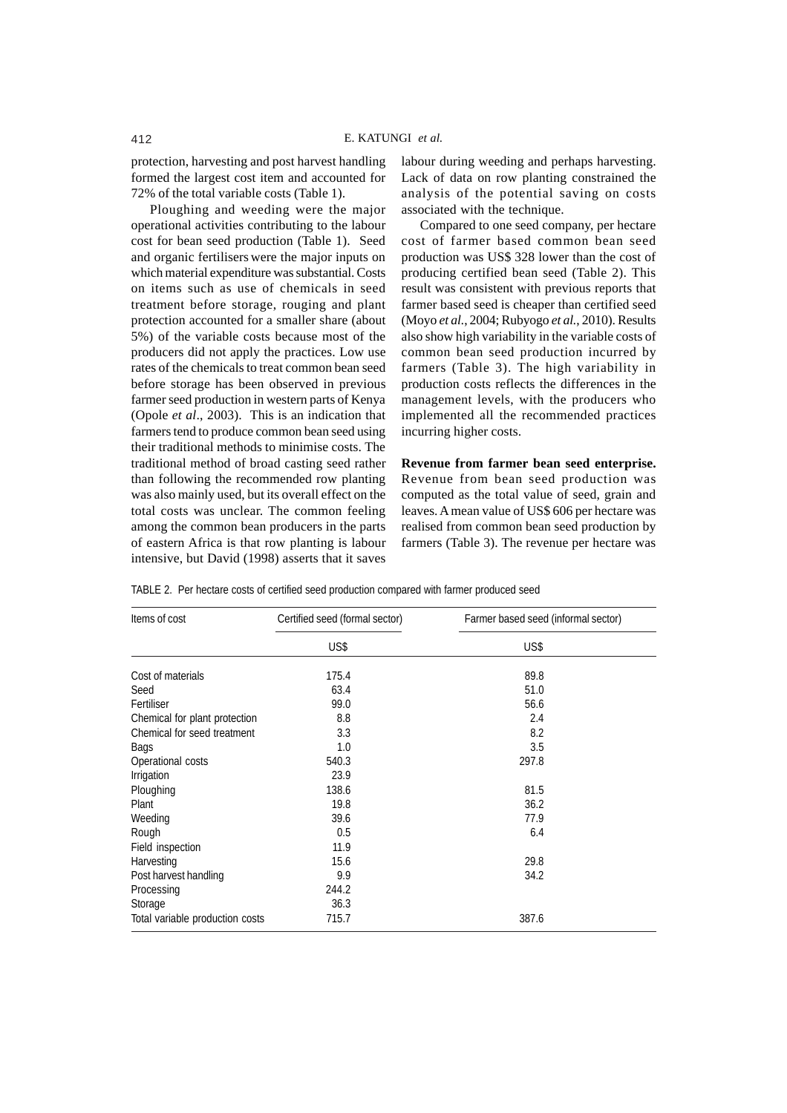protection, harvesting and post harvest handling formed the largest cost item and accounted for 72% of the total variable costs (Table 1).

Ploughing and weeding were the major operational activities contributing to the labour cost for bean seed production (Table 1). Seed and organic fertilisers were the major inputs on which material expenditure was substantial. Costs on items such as use of chemicals in seed treatment before storage, rouging and plant protection accounted for a smaller share (about 5%) of the variable costs because most of the producers did not apply the practices. Low use rates of the chemicals to treat common bean seed before storage has been observed in previous farmer seed production in western parts of Kenya (Opole *et al*., 2003). This is an indication that farmers tend to produce common bean seed using their traditional methods to minimise costs. The traditional method of broad casting seed rather than following the recommended row planting was also mainly used, but its overall effect on the total costs was unclear. The common feeling among the common bean producers in the parts of eastern Africa is that row planting is labour intensive, but David (1998) asserts that it saves

labour during weeding and perhaps harvesting. Lack of data on row planting constrained the analysis of the potential saving on costs associated with the technique.

Compared to one seed company, per hectare cost of farmer based common bean seed production was US\$ 328 lower than the cost of producing certified bean seed (Table 2). This result was consistent with previous reports that farmer based seed is cheaper than certified seed (Moyo *et al.*, 2004; Rubyogo *et al.*, 2010). Results also show high variability in the variable costs of common bean seed production incurred by farmers (Table 3). The high variability in production costs reflects the differences in the management levels, with the producers who implemented all the recommended practices incurring higher costs.

**Revenue from farmer bean seed enterprise.** Revenue from bean seed production was computed as the total value of seed, grain and leaves. A mean value of US\$ 606 per hectare was realised from common bean seed production by farmers (Table 3). The revenue per hectare was

TABLE 2. Per hectare costs of certified seed production compared with farmer produced seed

| Items of cost                   | Certified seed (formal sector) | Farmer based seed (informal sector) |  |  |
|---------------------------------|--------------------------------|-------------------------------------|--|--|
|                                 | US\$                           | US\$                                |  |  |
| Cost of materials               | 175.4                          | 89.8                                |  |  |
| Seed                            | 63.4                           | 51.0                                |  |  |
| Fertiliser                      | 99.0                           | 56.6                                |  |  |
| Chemical for plant protection   | 8.8                            | 2.4                                 |  |  |
| Chemical for seed treatment     | 3.3                            | 8.2                                 |  |  |
| Bags                            | 1.0                            | 3.5                                 |  |  |
| Operational costs               | 540.3                          | 297.8                               |  |  |
| Irrigation                      | 23.9                           |                                     |  |  |
| Ploughing                       | 138.6                          | 81.5                                |  |  |
| Plant                           | 19.8                           | 36.2                                |  |  |
| Weeding                         | 39.6                           | 77.9                                |  |  |
| Rough                           | 0.5                            | 6.4                                 |  |  |
| Field inspection                | 11.9                           |                                     |  |  |
| Harvesting                      | 15.6                           | 29.8                                |  |  |
| Post harvest handling           | 9.9                            | 34.2                                |  |  |
| Processing                      | 244.2                          |                                     |  |  |
| Storage                         | 36.3                           |                                     |  |  |
| Total variable production costs | 715.7                          | 387.6                               |  |  |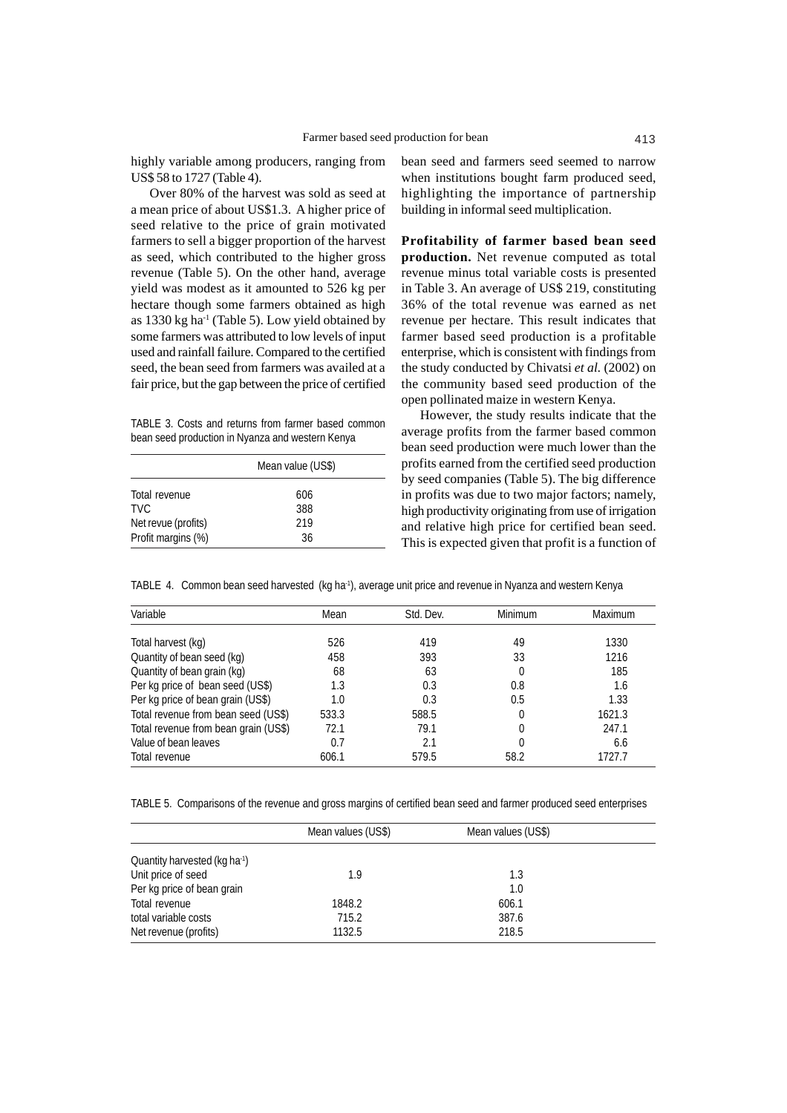highly variable among producers, ranging from US\$ 58 to 1727 (Table 4).

Over 80% of the harvest was sold as seed at a mean price of about US\$1.3. A higher price of seed relative to the price of grain motivated farmers to sell a bigger proportion of the harvest as seed, which contributed to the higher gross revenue (Table 5). On the other hand, average yield was modest as it amounted to 526 kg per hectare though some farmers obtained as high as  $1330$  kg ha<sup>1</sup> (Table 5). Low yield obtained by some farmers was attributed to low levels of input used and rainfall failure. Compared to the certified seed, the bean seed from farmers was availed at a fair price, but the gap between the price of certified

TABLE 3. Costs and returns from farmer based common bean seed production in Nyanza and western Kenya

|                     | Mean value (US\$) |  |  |
|---------------------|-------------------|--|--|
| Total revenue       | 606               |  |  |
| TVC.                | 388               |  |  |
| Net revue (profits) | 219               |  |  |
| Profit margins (%)  | 36                |  |  |

bean seed and farmers seed seemed to narrow when institutions bought farm produced seed, highlighting the importance of partnership building in informal seed multiplication.

**Profitability of farmer based bean seed production.** Net revenue computed as total revenue minus total variable costs is presented in Table 3. An average of US\$ 219, constituting 36% of the total revenue was earned as net revenue per hectare. This result indicates that farmer based seed production is a profitable enterprise, which is consistent with findings from the study conducted by Chivatsi *et al.* (2002) on the community based seed production of the open pollinated maize in western Kenya.

However, the study results indicate that the average profits from the farmer based common bean seed production were much lower than the profits earned from the certified seed production by seed companies (Table 5). The big difference in profits was due to two major factors; namely, high productivity originating from use of irrigation and relative high price for certified bean seed. This is expected given that profit is a function of

TABLE 4. Common bean seed harvested (kg ha<sup>-1</sup>), average unit price and revenue in Nyanza and western Kenya

| Variable                             | Mean  | Std. Dev. | Minimum | <b>Maximum</b> |
|--------------------------------------|-------|-----------|---------|----------------|
| Total harvest (kg)                   | 526   | 419       | 49      | 1330           |
| Quantity of bean seed (kg)           | 458   | 393       | 33      | 1216           |
| Quantity of bean grain (kg)          | 68    | 63        |         | 185            |
| Per kg price of bean seed (US\$)     | 1.3   | 0.3       | 0.8     | 1.6            |
| Per kg price of bean grain (US\$)    | 1.0   | 0.3       | 0.5     | 1.33           |
| Total revenue from bean seed (US\$)  | 533.3 | 588.5     |         | 1621.3         |
| Total revenue from bean grain (US\$) | 72.1  | 79.1      | 0       | 247.1          |
| Value of bean leaves                 | 0.7   | 2.1       |         | 6.6            |
| Total revenue                        | 606.1 | 579.5     | 58.2    | 1727.7         |

TABLE 5. Comparisons of the revenue and gross margins of certified bean seed and farmer produced seed enterprises

|                                           | Mean values (US\$) | Mean values (US\$) |  |
|-------------------------------------------|--------------------|--------------------|--|
| Quantity harvested (kg ha <sup>-1</sup> ) |                    |                    |  |
| Unit price of seed                        | 1.9                | 1.3                |  |
| Per kg price of bean grain                |                    | 1.0                |  |
| Total revenue                             | 1848.2             | 606.1              |  |
| total variable costs                      | 715.2              | 387.6              |  |
| Net revenue (profits)                     | 1132.5             | 218.5              |  |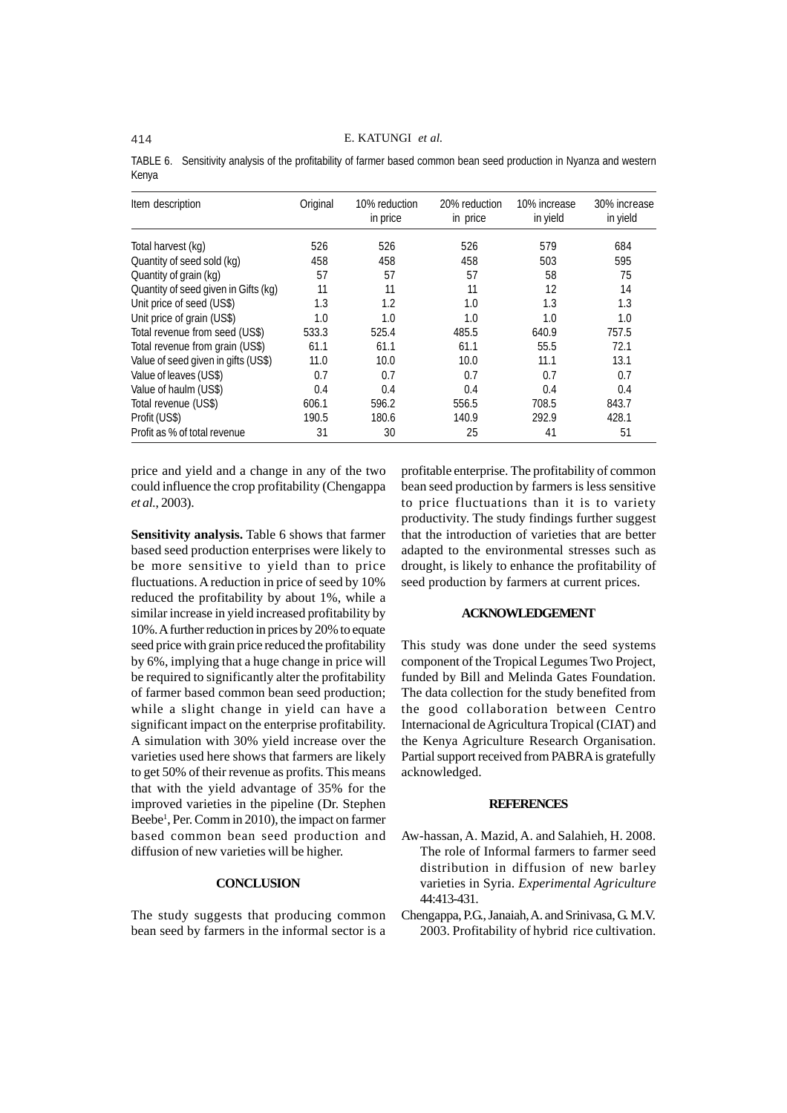TABLE 6. Sensitivity analysis of the profitability of farmer based common bean seed production in Nyanza and western Kenya

| Item description                     | Original | 10% reduction<br>in price | 20% reduction<br>in price | 10% increase<br>in yield | 30% increase<br>in yield |
|--------------------------------------|----------|---------------------------|---------------------------|--------------------------|--------------------------|
| Total harvest (kg)                   | 526      | 526                       | 526                       | 579                      | 684                      |
| Quantity of seed sold (kg)           | 458      | 458                       | 458                       | 503                      | 595                      |
| Quantity of grain (kg)               | 57       | 57                        | 57                        | 58                       | 75                       |
| Quantity of seed given in Gifts (kg) | 11       | 11                        | 11                        | 12                       | 14                       |
| Unit price of seed (US\$)            | 1.3      | 1.2                       | 1.0                       | 1.3                      | 1.3                      |
| Unit price of grain (US\$)           | 1.0      | 1.0                       | 1.0                       | 1.0                      | 1.0                      |
| Total revenue from seed (US\$)       | 533.3    | 525.4                     | 485.5                     | 640.9                    | 757.5                    |
| Total revenue from grain (US\$)      | 61.1     | 61.1                      | 61.1                      | 55.5                     | 72.1                     |
| Value of seed given in gifts (US\$)  | 11.0     | 10.0                      | 10.0                      | 11.1                     | 13.1                     |
| Value of leaves (US\$)               | 0.7      | 0.7                       | 0.7                       | 0.7                      | 0.7                      |
| Value of haulm (US\$)                | 0.4      | 0.4                       | 0.4                       | 0.4                      | 0.4                      |
| Total revenue (US\$)                 | 606.1    | 596.2                     | 556.5                     | 708.5                    | 843.7                    |
| Profit (US\$)                        | 190.5    | 180.6                     | 140.9                     | 292.9                    | 428.1                    |
| Profit as % of total revenue         | 31       | 30                        | 25                        | 41                       | 51                       |

price and yield and a change in any of the two could influence the crop profitability (Chengappa *et al.*, 2003).

**Sensitivity analysis.** Table 6 shows that farmer based seed production enterprises were likely to be more sensitive to yield than to price fluctuations. A reduction in price of seed by 10% reduced the profitability by about 1%, while a similar increase in yield increased profitability by 10%. A further reduction in prices by 20% to equate seed price with grain price reduced the profitability by 6%, implying that a huge change in price will be required to significantly alter the profitability of farmer based common bean seed production; while a slight change in yield can have a significant impact on the enterprise profitability. A simulation with 30% yield increase over the varieties used here shows that farmers are likely to get 50% of their revenue as profits. This means that with the yield advantage of 35% for the improved varieties in the pipeline (Dr. Stephen Beebe<sup>1</sup>, Per. Comm in 2010), the impact on farmer based common bean seed production and diffusion of new varieties will be higher.

#### **CONCLUSION**

The study suggests that producing common bean seed by farmers in the informal sector is a

profitable enterprise. The profitability of common bean seed production by farmers is less sensitive to price fluctuations than it is to variety productivity. The study findings further suggest that the introduction of varieties that are better adapted to the environmental stresses such as drought, is likely to enhance the profitability of seed production by farmers at current prices.

### **ACKNOWLEDGEMENT**

This study was done under the seed systems component of the Tropical Legumes Two Project, funded by Bill and Melinda Gates Foundation. The data collection for the study benefited from the good collaboration between Centro Internacional de Agricultura Tropical (CIAT) and the Kenya Agriculture Research Organisation. Partial support received from PABRA is gratefully acknowledged.

#### **REFERENCES**

- Aw-hassan, A. Mazid, A. and Salahieh, H. 2008. The role of Informal farmers to farmer seed distribution in diffusion of new barley varieties in Syria. *Experimental Agriculture* 44:413-431.
- Chengappa, P.G., Janaiah, A. and Srinivasa, G. M.V. 2003. Profitability of hybrid rice cultivation.